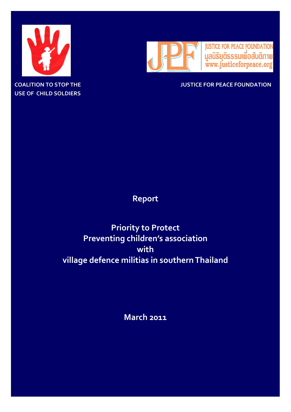

**USE OF CHILD SOLDIERS**



**COALITION TO STOP THE JUSTICE FOR PEACE FOUNDATION**

## **Report**

# **Priority to Protect Preventing children's association with village defence militias in southern Thailand**

**March 2011**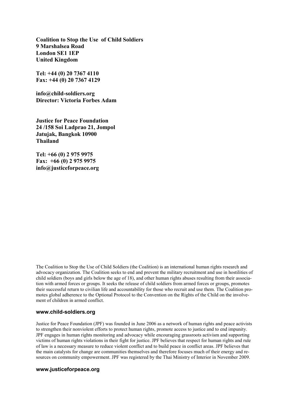**Coalition to Stop the Use of Child Soldiers 9 Marshalsea Road London SE1 1EP United Kingdom**

**Tel: +44 (0) 20 7367 4110 Fax: +44 (0) 20 7367 4129**

**info@child-soldiers.org Director: Victoria Forbes Adam**

**Justice for Peace Foundation 24 /158 Soi Ladprao 21, Jompol Jatujak, Bangkok 10900 Thailand**

**Tel: +66 (0) 2 975 9975 Fax: +66 (0) 2 975 9975 [info@justiceforpeace.org](mailto:info@justiceforpeace.org)**

The Coalition to Stop the Use of Child Soldiers (the Coalition) is an international human rights research and advocacy organization. The Coalition seeks to end and prevent the military recruitment and use in hostilities of child soldiers (boys and girls below the age of 18), and other human rights abuses resulting from their association with armed forces or groups. It seeks the release of child soldiers from armed forces or groups, promotes their successful return to civilian life and accountability for those who recruit and use them. The Coalition promotes global adherence to the Optional Protocol to the Convention on the Rights of the Child on the involvement of children in armed conflict.

#### **www.child-soldiers.org**

Justice for Peace Foundation (JPF) was founded in June 2006 as a network of human rights and peace activists to strengthen their nonviolent efforts to protect human rights, promote access to justice and to end impunity. JPF engages in human rights monitoring and advocacy while encouraging grassroots activism and supporting victims of human rights violations in their fight for justice. JPF believes that respect for human rights and rule of law is a necessary measure to reduce violent conflict and to build peace in conflict areas. JPF believes that the main catalysts for change are communities themselves and therefore focuses much of their energy and resources on community empowerment. JPF was registered by the Thai Ministry of Interior in November 2009.

#### **[www.justiceforpeace.org](http://www.justiceforpeace.org)**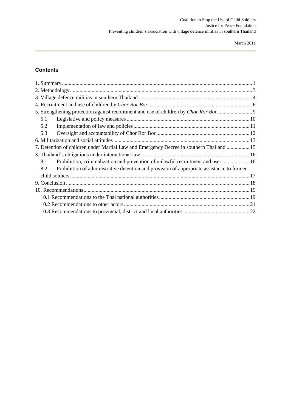## **Contents**

| 5.1                                                                                              |  |
|--------------------------------------------------------------------------------------------------|--|
| 5.2                                                                                              |  |
| 5.3                                                                                              |  |
|                                                                                                  |  |
| 7. Detention of children under Martial Law and Emergency Decree in southern Thailand  15         |  |
|                                                                                                  |  |
| 8.1<br>Prohibition, criminalization and prevention of unlawful recruitment and use 16            |  |
| Prohibition of administrative detention and provision of appropriate assistance to former<br>8.2 |  |
|                                                                                                  |  |
|                                                                                                  |  |
|                                                                                                  |  |
|                                                                                                  |  |
|                                                                                                  |  |
|                                                                                                  |  |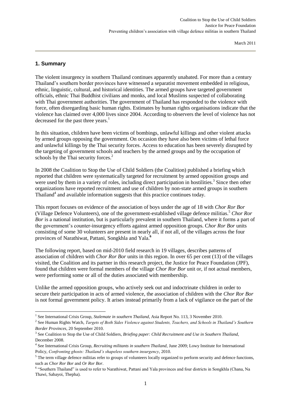#### <span id="page-3-0"></span>**1. Summary**

1

The violent insurgency in southern Thailand continues apparently unabated. For more than a century Thailand's southern border provinces have witnessed a separatist movement embedded in religious, ethnic, linguistic, cultural, and historical identities. The armed groups have targeted government officials, ethnic Thai Buddhist civilians and monks, and local Muslims suspected of collaborating with Thai government authorities. The government of Thailand has responded to the violence with force, often disregarding basic human rights. Estimates by human rights organisations indicate that the violence has claimed over 4,000 lives since 2004. According to observers the level of violence has not decreased for the past three years.<sup>1</sup>

In this situation, children have been victims of bombings, unlawful killings and other violent attacks by armed groups opposing the government. On occasion they have also been victims of lethal force and unlawful killings by the Thai security forces. Access to education has been severely disrupted by the targeting of government schools and teachers by the armed groups and by the occupation of schools by the Thai security forces.<sup>2</sup>

In 2008 the Coalition to Stop the Use of Child Soldiers (the Coalition) published a briefing which reported that children were systematically targeted for recruitment by armed opposition groups and were used by them in a variety of roles, including direct participation in hostilities.<sup>3</sup> Since then other organizations have reported recruitment and use of children by non-state armed groups in southern Thailand<sup>4</sup> and available information suggests that this practice continues today.

This report focuses on evidence of the association of boys under the age of 18 with *Chor Ror Bor* (Village Defence Volunteers), one of the government-established village defence militias.<sup>5</sup> *Chor Ror Bor* is a national institution, but is particularly prevalent in southern Thailand, where it forms a part of the government's counter-insurgency efforts against armed opposition groups. C*hor Ror Bor* units consisting of some 30 volunteers are present in nearly all, if not all, of the villages across the four provinces of Narathiwat, Pattani, Songkhla and Yala.**<sup>6</sup>**

The following report, based on mid-2010 field research in 19 villages, describes patterns of association of children with *Chor Ror Bor* units in this region. In over 65 per cent (13) of the villages visited, the Coalition and its partner in this research project, the Justice for Peace Foundation (JPF), found that children were formal members of the village *Chor Ror Bor* unit or, if not actual members, were performing some or all of the duties associated with membership.

Unlike the armed opposition groups, who actively seek out and indoctrinate children in order to secure their participation in acts of armed violence, the association of children with the *Chor Ror Bor*  is not formal government policy. It arises instead primarily from a lack of vigilance on the part of the

<sup>1</sup> See International Crisis Group, *Stalemate in southern Thailand*, Asia Report No. 113, 3 November 2010.

<sup>2</sup> See Human Rights Watch, *Targets of Both Sides Violence against Students, Teachers, and Schools in Thailand's Southern Border Provinces*, 20 September 2010.

<sup>3</sup> See Coalition to Stop the Use of Child Soldiers, *Briefing paper: Child Recruitment and Use in Southern Thailand*, December 2008.

<sup>4</sup> See International Crisis Group, *Recruiting militants in southern Thailand*, June 2009; Lowy Institute for International Policy, *Confronting ghosts: Thailand's shapeless southern insurgency*, 2010.

<sup>&</sup>lt;sup>5</sup> The term village defence militias refer to groups of volunteers locally organized to perform security and defence functions, such as *Chor Ror Bor* and *Or Ror Bor*.

<sup>&</sup>lt;sup>6</sup> "Southern Thailand" is used to refer to Narathiwat, Pattani and Yala provinces and four districts in Songkhla (Chana, Na Thawi, Sabayoi, Thepha).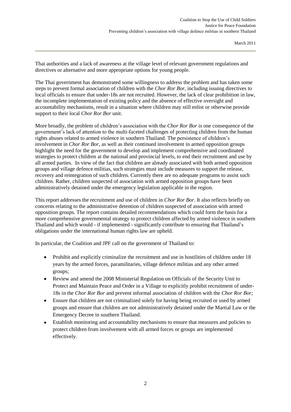Thai authorities and a lack of awareness at the village level of relevant government regulations and directives or alternative and more appropriate options for young people.

The Thai government has demonstrated some willingness to address the problem and has taken some steps to prevent formal association of children with the *Chor Ror Bor,* including issuing directives to local officials to ensure that under-18s are not recruited. However, the lack of clear prohibition in law, the incomplete implementation of existing policy and the absence of effective oversight and accountability mechanisms, result in a situation where children may still enlist or otherwise provide support to their local *Chor Ror Bor* unit.

More broadly, the problem of children's association with the *Chor Ror Bor* is one consequence of the government's lack of attention to the multi-faceted challenges of protecting children from the human rights abuses related to armed violence in southern Thailand. The persistence of children's involvement in *Chor Ror Bor*, as well as their continued involvement in armed opposition groups highlight the need for the government to develop and implement comprehensive and coordinated strategies to protect children at the national and provincial levels, to end their recruitment and use by all armed parties. In view of the fact that children are already associated with both armed opposition groups and village defence militias, such strategies must include measures to support the release, recovery and reintegration of such children. Currently there are no adequate programs to assist such children. Rather, children suspected of association with armed opposition groups have been administratively detained under the emergency legislation applicable in the region.

This report addresses the recruitment and use of children in *Chor Ror Bor*. It also reflects briefly on concerns relating to the administrative detention of children suspected of association with armed opposition groups. The report contains detailed recommendations which could form the basis for a more comprehensive governmental strategy to protect children affected by armed violence in southern Thailand and which would - if implemented - significantly contribute to ensuring that Thailand's obligations under the international human rights law are upheld.

In particular, the Coalition and JPF call on the government of Thailand to:

- $\bullet$ Prohibit and explicitly criminalize the recruitment and use in hostilities of children under 18 years by the armed forces, paramilitaries, village defence militias and any other armed groups;
- Review and amend the 2008 Ministerial Regulation on Officials of the Security Unit to Protect and Maintain Peace and Order in a Village to explicitly prohibit recruitment of under-18s in the *Chor Ror Bor* and prevent informal association of children with the *Chor Ror Bor;*
- Ensure that children are not criminalized solely for having being recruited or used by armed  $\bullet$ groups and ensure that children are not administratively detained under the Martial Law or the Emergency Decree in southern Thailand.
- Establish monitoring and accountability mechanisms to ensure that measures and policies to  $\bullet$ protect children from involvement with all armed forces or groups are implemented effectively.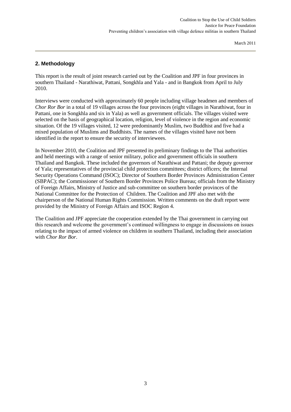## <span id="page-5-0"></span>**2. Methodology**

This report is the result of joint research carried out by the Coalition and JPF in four provinces in southern Thailand - Narathiwat, Pattani, Songkhla and Yala - and in Bangkok from April to July 2010.

Interviews were conducted with approximately 60 people including village headmen and members of *Chor Ror Bor* in a total of 19 villages across the four provinces (eight villages in Narathiwat, four in Pattani, one in Songkhla and six in Yala) as well as government officials. The villages visited were selected on the basis of geographical location, religion, level of violence in the region and economic situation. Of the 19 villages visited, 12 were predominantly Muslim, two Buddhist and five had a mixed population of Muslims and Buddhists. The names of the villages visited have not been identified in the report to ensure the security of interviewees.

In November 2010, the Coalition and JPF presented its preliminary findings to the Thai authorities and held meetings with a range of senior military, police and government officials in southern Thailand and Bangkok. These included the governors of Narathiwat and Pattani; the deputy governor of Yala; representatives of the provincial child protection committees; district officers; the Internal Security Operations Command (ISOC); Director of Southern Border Provinces Administration Center (SBPAC); the Commissioner of Southern Border Provinces Police Bureau; officials from the Ministry of Foreign Affairs, Ministry of Justice and sub-committee on southern border provinces of the National Committee for the Protection of Children. The Coalition and JPF also met with the chairperson of the National Human Rights Commission. Written comments on the draft report were provided by the Ministry of Foreign Affairs and ISOC Region 4.

The Coalition and JPF appreciate the cooperation extended by the Thai government in carrying out this research and welcome the government's continued willingness to engage in discussions on issues relating to the impact of armed violence on children in southern Thailand, including their association with *Chor Ror Bor*.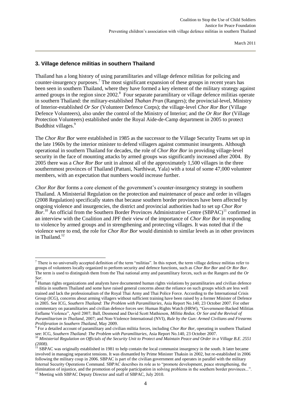#### <span id="page-6-0"></span>**3. Village defence militias in southern Thailand**

Thailand has a long history of using paramilitaries and village defence militias for policing and counter-insurgency purposes.<sup>7</sup> The most significant expansion of these groups in recent years has been seen in southern Thailand, where they have formed a key element of the military strategy against armed groups in the region since 2002.<sup>8</sup> Four separate paramilitary or village defence militias operate in southern Thailand: the military-established *Thahan Pran* (Rangers); the provincial-level, Ministry of Interior-established *Or Sor* (Volunteer Defence Corps); the village-level *Chor Ror Bor* (Village Defence Volunteers), also under the control of the Ministry of Interior; and the *Or Ror Bor* (Village Protection Volunteers) established under the Royal Aide-de-Camp department in 2005 to protect Buddhist villages.<sup>9</sup>

The *Chor Ror Bor* were established in 1985 as the successor to the Village Security Teams set up in the late 1960s by the interior minister to defend villagers against communist insurgents. Although operational in southern Thailand for decades, the role of *Chor Ror Bor* in providing village-level security in the face of mounting attacks by armed groups was significantly increased after 2004. By 2005 there was a *Chor Ror Bor* unit in almost all of the approximately 1,500 villages in the three southernmost provinces of Thailand (Pattani, Narthiwat, Yala) with a total of some 47,000 volunteer members, with an expectation that numbers would increase further.

*Chor Ror Bor* forms a core element of the government's counter-insurgency strategy in southern Thailand. A Ministerial Regulation on the protection and maintenance of peace and order in villages (2008 Regulation) specifically states that because southern border provinces have been affected by ongoing violence and insurgencies, the district and provincial authorities had to set up *Chor Ror*  Bor.<sup>10</sup> An official from the Southern Border Provinces Administrative Centre (SBPAC)<sup>11</sup> confirmed in an interview with the Coalition and JPF their view of the importance of *Chor Ror Bor* in responding to violence by armed groups and in strengthening and protecting villages. It was noted that if the violence were to end, the role for *Chor Ror Bor* would diminish to similar levels as in other provinces in Thailand.<sup>12</sup>

1

 $<sup>7</sup>$  There is no universally accepted definition of the term "militias". In this report, the term village defence militias refer to</sup> groups of volunteers locally organized to perform security and defence functions, such as *Chor Ror Bor* and *Or Ror Bor*. The term is used to distinguish them from the Thai national army and paramilitary forces, such as the Rangers and the *Or Sor*.

 $8$  Human rights organizations and analysts have documented human rights violations by paramilitaries and civilian defence militia in southern Thailand and some have raised general concerns about the reliance on such groups which are less well trained and lack the professionalism of the Royal Thai Army and Thai Police Force. According to the International Crisis Group (ICG), concerns about arming villagers without sufficient training have been raised by a former Minister of Defence in 2005. See ICG, *Southern Thailand: The Problem with Paramilitaries*, Asia Report No.140, 23 October 2007. For other commentary on paramilitaries and civilian defence forces see: Human Rights Watch (HRW), "Government-Backed Militias Enflame Violence", April 2007; Ball, Desmond and David Scott Mathieson, *Militia Redux. Or Sor and the Revival of Paramilitarism in Thailand*, 2007; and Non-Violence International (NVI), *Rule by the Gun: Armed Civilians and Firearms Proliferation in Southern Thailand*, May 2009.

<sup>9</sup> For a detailed account of paramilitary and civilian militia forces, including *Chor Ror Bor*, operating in southern Thailand see: ICG, *Southern Thailand: The Problem with Paramilitaries*, Asia Report No.140, 23 October 2007.

<sup>10</sup> *Ministerial Regulation on Officials of the Security Unit to Protect and Maintain Peace and Order in a Village B.E. 2551 (2008)*.

 $11$  SBPAC was originally established in 1981 to help contain the local communist insurgency in the south. It later became involved in managing separatist tensions. It was dismantled by Prime Minister Thaksin in 2002, but re-established in 2006 following the military coup in 2006. SBPAC is part of the civilian government and operates in parallel with the military Internal Security Operations Command. SBPAC describes its role as to "promote development, peace strengthening, the elimination of injustice, and the promotion of people participation in solving problems in the southern border provinces...".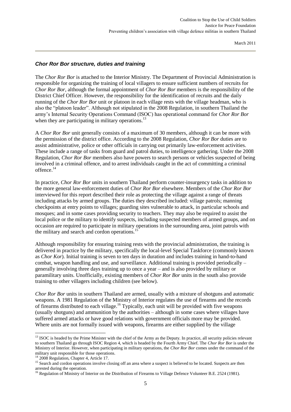#### *Chor Ror Bor structure, duties and training*

The *Chor Ror Bor* is attached to the Interior Ministry. The Department of Provincial Administration is responsible for organizing the training of local villagers to ensure sufficient numbers of recruits for *Chor Ror Bor*, although the formal appointment of *Chor Ror Bor* members is the responsibility of the District Chief Officer. However, the responsibility for the identification of recruits and the daily running of the *Chor Ror Bor* unit or platoon in each village rests with the village headman, who is also the "platoon leader". Although not stipulated in the 2008 Regulation, in southern Thailand the army's Internal Security Operations Command (ISOC) has operational command for *Chor Ror Bor* when they are participating in military operations.<sup>13</sup>

A *Chor Ror Bor* unit generally consists of a maximum of 30 members, although it can be more with the permission of the district office. According to the 2008 Regulation, *Chor Ror Bor* duties are to assist administrative, police or other officials in carrying out primarily law-enforcement activities. These include a range of tasks from guard and patrol duties, to intelligence gathering. Under the 2008 Regulation, *Chor Ror Bor* members also have powers to search persons or vehicles suspected of being involved in a criminal offence, and to arrest individuals caught in the act of committing a criminal offence.<sup>14</sup>

In practice, *Chor Ror Bor* units in southern Thailand perform counter-insurgency tasks in addition to the more general law-enforcement duties of *Chor Ror Bor* elsewhere. Members of the *Chor Ror Bor*  interviewed for this report described their role as protecting the village against a range of threats including attacks by armed groups. The duties they described included: village patrols; manning checkpoints at entry points to villages; guarding sites vulnerable to attack, in particular schools and mosques; and in some cases providing security to teachers. They may also be required to assist the local police or the military to identify suspects, including suspected members of armed groups, and on occasion are required to participate in military operations in the surrounding area, joint patrols with the military and search and cordon operations.<sup>1</sup>

Although responsibility for ensuring training rests with the provincial administration, the training is delivered in practice by the military, specifically the local-level Special Taskforce (commonly known as *Chor Kor*). Initial training is seven to ten days in duration and includes training in hand-to-hand combat, weapon handling and use, and surveillance. Additional training is provided periodically – generally involving three days training up to once a year – and is also provided by military or paramilitary units. Unofficially, existing members of *Chor Ror Bor* units in the south also provide training to other villagers including children (see below).

*Chor Ror Bor* units in southern Thailand are armed, usually with a mixture of shotguns and automatic weapons. A 1981 Regulation of the Ministry of Interior regulates the use of firearms and the records of firearms distributed to each village.<sup>16</sup> Typically, each unit will be provided with five weapons (usually shotguns) and ammunition by the authorities – although in some cases where villages have suffered armed attacks or have good relations with government officials more may be provided. Where units are not formally issued with weapons, firearms are either supplied by the village

1

 $<sup>13</sup>$  ISOC is headed by the Prime Minister with the chief of the Army as the Deputy. In practice, all security policies relevant</sup> to southern Thailand go through ISOC Region 4, which is headed by the Fourth Army Chief. The *Chor Ror Bor* is under the Ministry of Interior. However, when participating in military operations, the *Chor Ror Bor* comes under the command of the military unit responsible for those operations.

 $14$  2008 Regulation, Chapter 4, Article 17.

<sup>&</sup>lt;sup>15</sup> Search and cordon operations involve closing off an area where a suspect is believed to be located. Suspects are then arrested during the operation.

<sup>&</sup>lt;sup>16</sup> Regulation of Ministry of Interior on the Distribution of Firearms to Village Defence Volunteer B.E. 2524 (1981).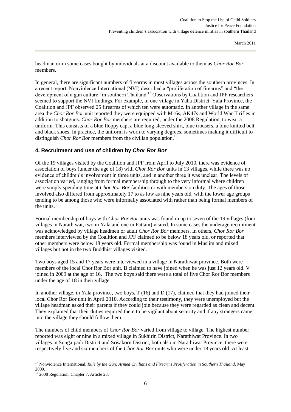headman or in some cases bought by individuals at a discount available to them as *Chor Ror Bor*  members.

In general, there are significant numbers of firearms in most villages across the southern provinces. In a recent report, Nonviolence International (NVI) described a "proliferation of firearms" and "the development of a gun culture" in southern Thailand.<sup>17</sup> Observations by Coalition and JPF researchers seemed to support the NVI findings. For example, in one village in Yaha District, Yala Province, the Coalition and JPF observed 25 firearms of which ten were automatic. In another village in the same area the *Chor Ror Bor* unit reported they were equipped with M16s, AK47s and World War II rifles in addition to shotguns. *Chor Ror Bor* members are required, under the 2008 Regulation, to wear a uniform. This consists of a blue floppy cap, a blue long-sleeved shirt, blue trousers, a blue knitted belt and black shoes. In practice, the uniform is worn to varying degrees, sometimes making it difficult to distinguish *Chor Ror Bor* members from the civilian population.<sup>18</sup>

#### <span id="page-8-0"></span>**4. Recruitment and use of children by** *Chor Ror Bor*

Of the 19 villages visited by the Coalition and JPF from April to July 2010, there was evidence of association of boys (under the age of 18) with *Chor Ror Bor* units in 13 villages, while there was no evidence of children's involvement in three units, and in another three it was unclear. The levels of association varied, ranging from formal membership through to the very informal where children were simply spending time at *Chor Ror Bor* facilities or with members on duty. The ages of those involved also differed from approximately 17 to as low as nine years old, with the lower age groups tending to be among those who were informally associated with rather than being formal members of the units.

Formal membership of boys with *Chor Ror Bor* units was found in up to seven of the 19 villages (four villages in Narathiwat, two in Yala and one in Pattani) visited. In some cases the underage recruitment was acknowledged by village headmen or adult *Chor Ror Bor* members. In others, *Chor Ror Bor* members interviewed by the Coalition and JPF claimed to be below 18 years old, or reported that other members were below 18 years old. Formal membership was found in Muslim and mixed villages but not in the two Buddhist villages visited.

Two boys aged 15 and 17 years were interviewed in a village in Narathiwat province. Both were members of the local Chor Ror Bor unit. B claimed to have joined when he was just 12 years old. V joined in 2009 at the age of 16. The two boys said there were a total of five Chor Ror Bor members under the age of 18 in their village.

In another village, in Yala province, two boys, T (16) and D (17), claimed that they had joined their local Chor Ror Bor unit in April 2010. According to their testimony, they were unemployed but the village headman asked their parents if they could join because they were regarded as clean and decent. They explained that their duties required them to be vigilant about security and if any strangers came into the village they should follow them.

The numbers of child members of *Chor Ror Bor* varied from village to village. The highest number reported was eight or nine in a mixed village in Sukhirin District, Narathiwat Province. In two villages in Sungaipadi District and Srisakorn District, both also in Narathiwat Province, there were respectively five and six members of the *Chor Ror Bor* units who were under 18 years old. At least

<sup>17</sup> Nonviolence International, *Rule by the Gun: Armed Civilians and Firearms Proliferation in Southern Thailand*. May 2009.

<sup>&</sup>lt;sup>18</sup> 2008 Regulation, Chapter 7, Article 23.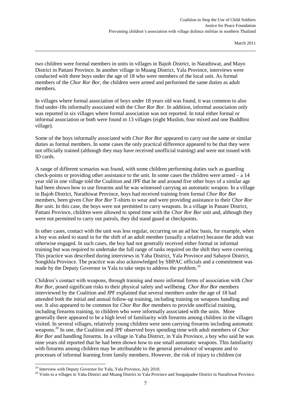two children were formal members in units in villages in Bajoh District, in Narathiwat, and Mayo District in Pattani Province. In another village in Muang District, Yala Province, interviews were conducted with three boys under the age of 18 who were members of the local unit. As formal members of the *Chor Ror Bor*, the children were armed and performed the same duties as adult members.

In villages where formal association of boys under 18 years old was found, it was common to also find under-18s informally associated with the *Chor Ror Bor*. In addition, informal association only was reported in six villages where formal association was not reported. In total either formal or informal association or both were found in 13 villages (eight Muslim, four mixed and one Buddhist village).

Some of the boys informally associated with *Chor Ror Bor* appeared to carry out the same or similar duties as formal members. In some cases the only practical difference appeared to be that they were not officially trained (although they may have received unofficial training) and were not issued with ID cards.

A range of different scenarios was found, with some children performing duties such as guarding check-points or providing other assistance to the unit. In some cases the children were armed – a 14 year old in one village told the Coalition and JPF that he and around five other boys of a similar age had been shown how to use firearms and he was witnessed carrying an automatic weapon. In a village in Bajoh District, Narathiwat Province, boys had received training from formal *Chor Ror Bo*r members, been given *Chor Ror Bor* T-shirts to wear and were providing assistance to their *Chor Ror Bor* unit. In this case, the boys were not permitted to carry weapons. In a village in Panare District, Pattani Province, children were allowed to spend time with the *Chor Ror Bor* unit and, although they were not permitted to carry out patrols, they did stand guard at checkpoints.

In other cases, contact with the unit was less regular, occurring on an ad hoc basis, for example, when a boy was asked to stand in for the shift of an adult member (usually a relative) because the adult was otherwise engaged. In such cases, the boy had not generally received either formal or informal training but was required to undertake the full range of tasks required on the shift they were covering. This practice was described during interviews in Yaha District, Yala Province and Sabayoi District, Songkhla Province. The practice was also acknowledged by SBPAC officials and a commitment was made by the Deputy Governor in Yala to take steps to address the problem.<sup>19</sup>

Children's contact with weapons, through training and more informal forms of association with *Chor Ror Bor*, posed significant risks to their physical safety and wellbeing. *Chor Ror Bor* members interviewed by the Coalition and JPF explained that several members under the age of 18 had attended both the initial and annual follow-up training, including training on weapons handling and use. It also appeared to be common for *Chor Ror Bor* members to provide unofficial training, including firearms training, to children who were informally associated with the units. More generally there appeared to be a high level of familiarity with firearms among children in the villages visited. In several villages, relatively young children were seen carrying firearms including automatic weapons.<sup>20</sup> In one, the Coalition and JPF observed boys spending time with adult members of *Chor Ror Bor* and handling firearms. In a village in Yaha District, in Yala Province, a boy who said he was nine years old reported that he had been shown how to use small automatic weapons. This familiarity with firearms among children may be attributable to the general prevalence of weapons and to processes of informal learning from family members. However, the risk of injury to children (or

1

 $19$  Interview with Deputy Governor for Yala, Yala Province, July 2010.

<sup>&</sup>lt;sup>20</sup> Visits to a villages in Yaha District and Muang District in Yala Province and Sungaipadee District in Narathiwat Province.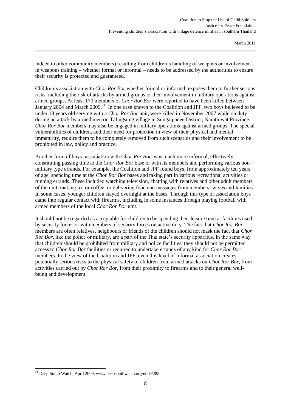indeed to other community members) resulting from children's handling of weapons or involvement in weapons training – whether formal or informal – needs to be addressed by the authorities to ensure their security is protected and guaranteed.

Children's association with *Chor Ror Bor* whether formal or informal, exposes them to further serious risks, including the risk of attacks by armed groups or their involvement in military operations against armed groups. At least 170 members of *Chor Ror Bor* were reported to have been killed between January 2004 and March 2009.<sup>21</sup> In one case known to the Coalition and JPF, two boys believed to be under 18 years old serving with a *Chor Ror Bor* unit, were killed in November 2007 while on duty during an attack by armed men on Talingsung village in Sungaipadee District, Narathiwat Province. *Chor Ror Bor* members may also be engaged in military operations against armed groups. The special vulnerabilities of children, and their need for protection in view of their physical and mental immaturity, require them to be completely removed from such scenarios and their involvement to be prohibited in law, policy and practice.

Another form of boys' association with *Chor Ror Bor*, was much more informal, effectively constituting passing time at the *Chor Ror Bor* base or with its members and performing various nonmilitary type errands. For example, the Coalition and JPF found boys, from approximately ten years of age, spending time at the *Chor Ror Bor* bases and taking part in various recreational activities or running errands. These included watching television, chatting with relatives and other adult members of the unit, making tea or coffee, or delivering food and messages from members' wives and families. In some cases, younger children stayed overnight at the bases. Through this type of association boys came into regular contact with firearms, including in some instances through playing football with armed members of the local *Chor Ror Bor* unit.

It should not be regarded as acceptable for children to be spending their leisure time at facilities used by security forces or with members of security forces on active duty. The fact that *Chor Ror Bor* members are often relatives, neighbours or friends of the children should not mask the fact that *Chor Ror Bor*, like the police or military, are a part of the Thai state's security apparatus. In the same way that children should be prohibited from military and police facilities, they should not be permitted access to *Chor Ror Bor* facilities or required to undertake errands of any kind for *Chor Ror Bor* members. In the view of the Coalition and JPF, even this level of informal association creates potentially serious risks to the physical safety of children from armed attacks on *Chor Ror Bor*, from activities carried out by *Chor Ror Bor*, from their proximity to firearms and to their general wellbeing and development.

1

<sup>&</sup>lt;sup>21</sup> Deep South Watch, April 2009, www.deepsouthwatch.org/node/288.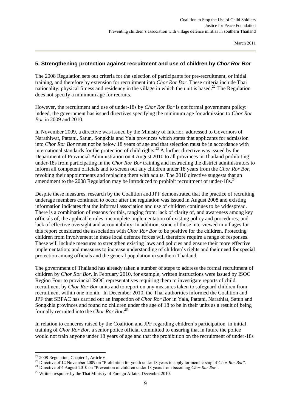#### <span id="page-11-0"></span>**5. Strengthening protection against recruitment and use of children by** *Chor Ror Bor*

The 2008 Regulation sets out criteria for the selection of participants for pre-recruitment, or initial training, and therefore by extension for recruitment into *Chor Ror Bor*. These criteria include Thai nationality, physical fitness and residency in the village in which the unit is based.<sup>22</sup> The Regulation does not specify a minimum age for recruits.

However, the recruitment and use of under-18s by *Chor Ror Bor* is not formal government policy: indeed, the government has issued directives specifying the minimum age for admission to *Chor Ror Bor* in 2009 and 2010.

In November 2009, a directive was issued by the Ministry of Interior, addressed to Governors of Narathiwat, Pattani, Satun, Songkhla and Yala provinces which states that applicants for admission into *Chor Ror Bor* must not be below 18 years of age and that selection must be in accordance with international standards for the protection of child rights.<sup>23</sup> A further directive was issued by the Department of Provincial Administration on 4 August 2010 to all provinces in Thailand prohibiting under-18s from participating in the *Chor Ror Bor* training and instructing the district administrators to inform all competent officials and to screen out any children under 18 years from the *Chor Ror Bor*, revoking their appointments and replacing them with adults. The 2010 directive suggests that an amendment to the 2008 Regulation may be introduced to prohibit recruitment of under-18s.<sup>24</sup>

Despite these measures, research by the Coalition and JPF demonstrated that the practice of recruiting underage members continued to occur after the regulation was issued in August 2008 and existing information indicates that the informal association and use of children continues to be widespread. There is a combination of reasons for this, ranging from: lack of clarity of, and awareness among key officials of, the applicable rules; incomplete implementation of existing policy and procedures; and lack of effective oversight and accountability. In addition, some of those interviewed in villages for this report considered the association with *Chor Ror Bor* to be positive for the children. Protecting children from involvement in these local defence forces will therefore require a range of responses. These will include measures to strengthen existing laws and policies and ensure their more effective implementation; and measures to increase understanding of children's rights and their need for special protection among officials and the general population in southern Thailand.

The government of Thailand has already taken a number of steps to address the formal recruitment of children by *Chor Ror Bor*. In February 2010, for example, written instructions were issued by ISOC Region Four to provincial ISOC representatives requiring them to investigate reports of child recruitment by *Chor Ror Bor* units and to report on any measures taken to safeguard children from recruitment within one month. In December 2010, the Thai authorities informed the Coalition and JPF that SBPAC has carried out an inspection of *Chor Ror Bor* in Yala, Pattani, Narathiat, Satun and Songkhla provinces and found no children under the age of 18 to be in their units as a result of being formally recruited into the *Chor Ror Bor.<sup>25</sup>*

In relation to concerns raised by the Coalition and JPF regarding children's participation in initial training of *Chor Ror Bor*, a senior police official committed to ensuring that in future the police would not train anyone under 18 years of age and that the prohibition on the recruitment of under-18s

 $22$  2008 Regulation, Chapter 1, Article 6.

<sup>23</sup> Directive of 12 November 2009 on "Prohibition for youth under 18 years to apply for membership of *Chor Ror Bor*".

<sup>24</sup> Directive of 4 August 2010 on "Prevention of children under 18 years from becoming *Chor Ror Bor"*.

<sup>&</sup>lt;sup>25</sup> Written response by the Thai Ministry of Foreign Affairs, December 2010.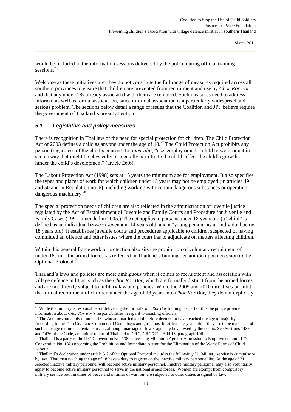would be included in the information sessions delivered by the police during official training sessions.<sup>26</sup>

Welcome as these initiatives are, they do not constitute the full range of measures required across all southern provinces to ensure that children are prevented from recruitment and use by *Chor Ror Bor*  and that any under-18s already associated with them are removed. Such measures need to address informal as well as formal association, since informal association is a particularly widespread and serious problem. The sections below detail a range of issues that the Coalition and JPF believe require the government of Thailand's urgent attention.

#### <span id="page-12-0"></span>*5.1 Legislative and policy measures*

-

There is recognition in Thai law of the need for special protection for children. The Child Protection Act of 2003 defines a child as anyone under the age of  $18<sup>27</sup>$  The Child Protection Act prohibits any person (regardless of the child's consent) to, *inter alia*, "use, employ or ask a child to work or act in such a way that might be physically or mentally harmful to the child, affect the child's growth or hinder the child's development" (article 26.6).

The Labour Protection Act (1998) sets at 15 years the minimum age for employment. It also specifies the types and places of work for which children under 18 years may not be employed (in articles 49 and 50 and in Regulation no. 6), including working with certain dangerous substances or operating dangerous machinery.<sup>28</sup>

The special protection needs of children are also reflected in the administration of juvenile justice regulated by the Act of Establishment of Juvenile and Family Courts and Procedure for Juvenile and Family Cases (1991, amended in 2005.) The act applies to persons under 18 years old (a "child" is defined as an individual between seven and 14 years old, and a "young person" as an individual below 18 years old). It establishes juvenile courts and procedures applicable to children suspected of having committed an offence and other issues where the court has to adjudicate on matters affecting children.

Within this general framework of protection also sits the prohibition of voluntary recruitment of under-18s into the armed forces, as reflected in Thailand's binding declaration upon accession to the Optional Protocol.<sup>29</sup>

Thailand's laws and policies are more ambiguous when it comes to recruitment and association with village defence militias, such as the *Chor Ror Bor,* which are formally distinct from the armed forces and are not directly subject to military law and policies. While the 2009 and 2010 directives prohibit the formal recruitment of children under the age of 18 years into *Chor Ror Bor,* they do not explicitly

<sup>26</sup> While the military is responsible for delivering the formal *Chor Ror Bor* training, as part of this the police provide information about *Chor Ror Bor's* responsibilities in regard to assisting officials.

<sup>&</sup>lt;sup>27</sup> The Act does not apply to under-18s who are married and therefore deemed to have reached the age of majority. According to the Thai Civil and Commercial Code, boys and girls must be at least 17 years old if they are to be married and such marriage requires parental consent, although marriage of lower age may be allowed by the courts. See Sections 1435 and 1436 of the Code, and initial report of Thailand to CRC, CRC/C/11/Add.13, paragraph 106.

 $^{28}$  Thailand is a party to the ILO Convention No. 138 concerning Minimum Age for Admission to Employment and ILO Convention No. 182 concerning the Prohibition and Immediate Action for the Elimination of the Worst Forms of Child Labour.

<sup>&</sup>lt;sup>29</sup> Thailand's declaration under article 3.2 of the Optional Protocol includes the following: "1. Military service is compulsory by law. Thai men reaching the age of 18 have a duty to register on the inactive military personnel list. At the age of 21, selected inactive military personnel will become active military personnel. Inactive military personnel may also voluntarily apply to become active military personnel to serve in the national armed forces. Women are exempt from compulsory military service both in times of peace and in times of war, but are subjected to other duties assigned by law."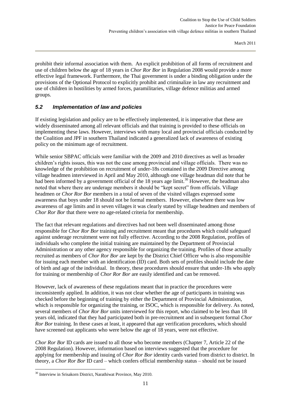prohibit their informal association with them. An explicit prohibition of all forms of recruitment and use of children below the age of 18 years in *Chor Ror Bor* in Regulation 2008 would provide a more effective legal framework. Furthermore, the Thai government is under a binding obligation under the provisions of the Optional Protocol to explicitly prohibit and criminalize in law any recruitment and use of children in hostilities by armed forces, paramilitaries, village defence militias and armed groups.

#### <span id="page-13-0"></span>*5.2 Implementation of law and policies*

If existing legislation and policy are to be effectively implemented, it is imperative that these are widely disseminated among all relevant officials and that training is provided to these officials on implementing these laws. However, interviews with many local and provincial officials conducted by the Coalition and JPF in southern Thailand indicated a generalized lack of awareness of existing policy on the minimum age of recruitment.

While senior SBPAC officials were familiar with the 2009 and 2010 directives as well as broader children's rights issues, this was not the case among provincial and village officials. There was no knowledge of the prohibition on recruitment of under-18s contained in the 2009 Directive among village headmen interviewed in April and May 2010, although one village headman did note that he had been informed by a government official of the 18 years age limit.<sup>30</sup> However, the headman also noted that where there are underage members it should be "kept secret" from officials. Village headmen or *Chor Ror Bor* members in a total of seven of the visited villages expressed some awareness that boys under 18 should not be formal members. However, elsewhere there was low awareness of age limits and in seven villages it was clearly stated by village headmen and members of *Chor Ror Bor* that there were no age-related criteria for membership.

The fact that relevant regulations and directives had not been well disseminated among those responsible for *Chor Ror Bor* training and recruitment meant that procedures which could safeguard against underage recruitment were not fully effective. According to the 2008 Regulation, profiles of individuals who complete the initial training are maintained by the Department of Provincial Administration or any other agency responsible for organizing the training. Profiles of those actually recruited as members of *Chor Ror Bor* are kept by the District Chief Officer who is also responsible for issuing each member with an identification (ID) card. Both sets of profiles should include the date of birth and age of the individual. In theory, these procedures should ensure that under-18s who apply for training or membership of *Chor Ror Bor* are easily identified and can be removed.

However, lack of awareness of these regulations meant that in practice the procedures were inconsistently applied. In addition, it was not clear whether the age of participants in training was checked before the beginning of training by either the Department of Provincial Administration, which is responsible for organizing the training, or ISOC, which is responsible for delivery. As noted, several members of *Chor Ror Bor* units interviewed for this report, who claimed to be less than 18 years old, indicated that they had participated both in pre-recruitment and in subsequent formal *Chor Ror Bor* training. In these cases at least, it appeared that age verification procedures, which should have screened out applicants who were below the age of 18 years, were not effective.

*Chor Ror Bor* ID cards are issued to all those who become members (Chapter 7, Article 22 of the 2008 Regulation). However, information based on interviews suggested that the procedure for applying for membership and issuing of *Chor Ror Bor* identity cards varied from district to district. In theory, a *Chor Ror Bor* ID card – which confers official membership status – should not be issued

<sup>-</sup><sup>30</sup> Interview in Srisakorn District, Narathiwat Province, May 2010.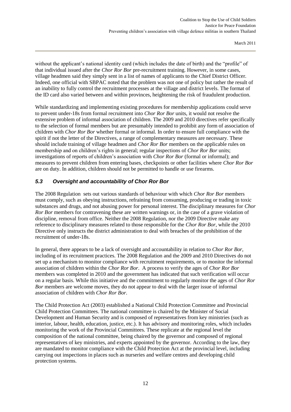without the applicant's national identity card (which includes the date of birth) and the "profile" of that individual issued after the *Chor Ror Bor* pre-recruitment training. However, in some cases, village headmen said they simply sent in a list of names of applicants to the Chief District Officer. Indeed, one official with SBPAC noted that the problem was not one of policy but rather the result of an inability to fully control the recruitment processes at the village and district levels. The format of the ID card also varied between and within provinces, heightening the risk of fraudulent production.

While standardizing and implementing existing procedures for membership applications could serve to prevent under-18s from formal recruitment into *Chor Ror Bor* units, it would not resolve the extensive problem of informal association of children. The 2009 and 2010 directives refer specifically to the selection of formal members but are presumably intended to prohibit any form of association of children with *Chor Ror Bor* whether formal or informal. In order to ensure full compliance with the spirit if not the letter of the Directives, a range of complementary measures are necessary. These should include training of village headmen and *Chor Ror Bor* members on the applicable rules on membership and on children's rights in general; regular inspections of *Chor Ror Bor* units; investigations of reports of children's association with *Chor Ror Bor* (formal or informal); and measures to prevent children from entering bases, checkpoints or other facilities where *Chor Ror Bor* are on duty. In addition, children should not be permitted to handle or use firearms.

## <span id="page-14-0"></span>*5.3 Oversight and accountability of Chor Ror Bor*

The 2008 Regulation sets out various standards of behaviour with which *Chor Ror Bor* members must comply, such as obeying instructions, refraining from consuming, producing or trading in toxic substances and drugs, and not abusing power for personal interest. The disciplinary measures for *Chor Ror Bor* members for contravening these are written warnings or, in the case of a grave violation of discipline, removal from office. Neither the 2008 Regulation, nor the 2009 Directive make any reference to disciplinary measures related to those responsible for the *Chor Ror Bor*, while the 2010 Directive only instructs the district administration to deal with breaches of the prohibition of the recruitment of under-18s.

In general, there appears to be a lack of oversight and accountability in relation to *Chor Ror Bor*, including of its recruitment practices. The 2008 Regulation and the 2009 and 2010 Directives do not set up a mechanism to monitor compliance with recruitment requirements, or to monitor the informal association of children within the *Chor Ror Bor*. A process to verify the ages of *Chor Ror Bor*  members was completed in 2010 and the government has indicated that such verification will occur on a regular basis. While this initiative and the commitment to regularly monitor the ages of *Chor Ror Bor* members are welcome moves, they do not appear to deal with the larger issue of informal association of children with *Chor Ror Bor.*

The Child Protection Act (2003) established a National Child Protection Committee and Provincial Child Protection Committees. The national committee is chaired by the Minister of Social Development and Human Security and is composed of representatives from key ministries (such as interior, labour, health, education, justice, etc.). It has advisory and monitoring roles, which includes monitoring the work of the Provincial Committees. These replicate at the regional level the composition of the national committee, being chaired by the governor and composed of regional representatives of key ministries, and experts appointed by the governor. According to the law, they are mandated to monitor compliance with the Child Protection Act at the provincial level, including carrying out inspections in places such as nurseries and welfare centres and developing child protection systems.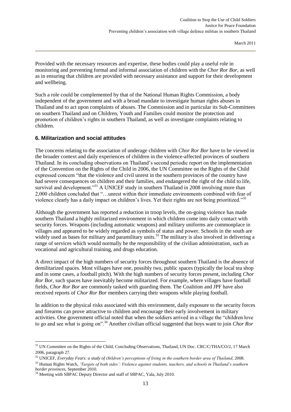Provided with the necessary resources and expertise, these bodies could play a useful role in monitoring and preventing formal and informal association of children with the *Chor Ror Bor*, as well as in ensuring that children are provided with necessary assistance and support for their development and wellbeing.

Such a role could be complemented by that of the National Human Rights Commission, a body independent of the government and with a broad mandate to investigate human rights abuses in Thailand and to act upon complaints of abuses. The Commission and in particular its Sub-Committees on southern Thailand and on Children, Youth and Families could monitor the protection and promotion of children's rights in southern Thailand, as well as investigate complaints relating to children.

#### <span id="page-15-0"></span>**6. Militarization and social attitudes**

The concerns relating to the association of underage children with *Chor Ror Bor* have to be viewed in the broader context and daily experiences of children in the violence-affected provinces of southern Thailand. In its concluding observations on Thailand's second periodic report on the implementation of the Convention on the Rights of the Child in 2006, the UN Committee on the Rights of the Child expressed concern "that the violence and civil unrest in the southern provinces of the country have had severe consequences on children and their families, and endangered the right of the child to life, survival and development."<sup>31</sup> A UNICEF study in southern Thailand in 2008 involving more than 2,000 children concluded that "…unrest within their immediate environments combined with fear of violence clearly has a daily impact on children's lives. Yet their rights are not being prioritized."<sup>32</sup>

Although the government has reported a reduction in troop levels, the on-going violence has made southern Thailand a highly militarized environment in which children come into daily contact with security forces. Weapons (including automatic weapons) and military uniforms are commonplace in villages and appeared to be widely regarded as symbols of status and power. Schools in the south are widely used as bases for military and paramilitary units.<sup>33</sup> The military is also involved in delivering a range of services which would normally be the responsibility of the civilian administration, such as vocational and agricultural training, and drugs education.

A direct impact of the high numbers of security forces throughout southern Thailand is the absence of demilitarized spaces. Most villages have one, possibly two, public spaces (typically the local tea shop and in some cases, a football pitch). With the high numbers of security forces present, including *Chor Ror Bor*, such spaces have inevitably become militarized. For example, where villages have football fields, *Chor Ror Bor* are commonly tasked with guarding them. The Coalition and JPF have also received reports of *Chor Ror Bor* members carrying their weapons while playing football.

In addition to the physical risks associated with this environment, daily exposure to the security forces and firearms can prove attractive to children and encourage their early involvement in military activities. One government official noted that when the soldiers arrived in a village the "children love to go and see what is going on".<sup>34</sup> Another civilian official suggested that boys want to join *Chor Ror* 

1

<sup>&</sup>lt;sup>31</sup> UN Committee on the Rights of the Child, Concluding Observations, Thailand, UN Doc. CRC/C/THA/CO/2, 17 March 2006, paragraph 27.

<sup>32</sup> UNICEF, *Everyday Fears: a study of children's perceptions of living in the southern border area of Thailand*, 2008.

<sup>33</sup> Human Rights Watch, *'Targets of both sides': Violence against students, teachers, and schools in Thailand's southern border provinces*, September 2010.

<sup>&</sup>lt;sup>34</sup> Meeting with SBPAC Deputy Director and staff of SBPAC, Yala, July 2010.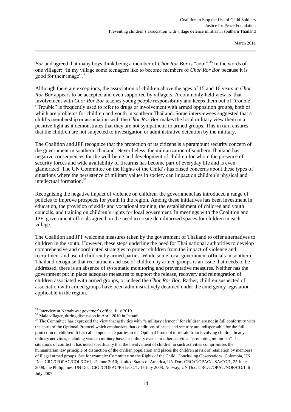*Bor* and agreed that many boys think being a member of *Chor Ror Bor* is "cool".<sup>35</sup> In the words of one villager: "In my village some teenagers like to become members of *Chor Ror Bor* because it is good for their image".<sup>36</sup>

Although there are exceptions, the association of children above the ages of 15 and 16 years in *Chor Ror Bor* appears to be accepted and even supported by villagers. A commonly-held view is that involvement with *Chor Ror Bor* teaches young people responsibility and keeps them out of "trouble" "Trouble" is frequently used to refer to drugs or involvement with armed opposition groups, both of which are problems for children and youth in southern Thailand. Some interviewees suggested that a child's membership or association with the *Chor Ror Bor* makes the local military view them in a positive light as it demonstrates that they are not sympathetic to armed groups. This in turn ensures that the children are not subjected to investigation or administrative detention by the military.

The Coalition and JPF recognize that the protection of its citizens is a paramount security concern of the government in southern Thailand. Nevertheless, the militarization of southern Thailand has negative consequences for the well-being and development of children for whom the presence of security forces and wide availability of firearms has become part of everyday life and is even glamorized. The UN Committee on the Rights of the Child's has raised concerns about these types of situations where the persistence of military values in society can impact on children's physical and intellectual formation.<sup>37</sup>

Recognising the negative impact of violence on children, the government has introduced a range of policies to improve prospects for youth in the region. Among these initiatives has been investment in education, the provision of skills and vocational training, the establishment of children and youth councils, and training on children's rights for local government. In meetings with the Coalition and JPF, government officials agreed on the need to create demilitarized spaces for children in each village.

The Coalition and JPF welcome measures taken by the government of Thailand to offer alternatives to children in the south. However, these steps underline the need for Thai national authorities to develop comprehensive and coordinated strategies to protect children from the impact of violence and recruitment and use of children by armed parties. While some local government officials in southern Thailand recognise that recruitment and use of children by armed groups is an issue that needs to be addressed, there is an absence of systematic monitoring and preventative measures. Neither has the government put in place adequate measures to support the release, recovery and reintegration of children associated with armed groups, or indeed the *Chor Ror Bor*. Rather, children suspected of association with armed groups have been administratively detained under the emergency legislation applicable in the region.

<sup>&</sup>lt;sup>35</sup> Interview at Narathiwat governor's office, July 2010.

<sup>&</sup>lt;sup>36</sup> Male villager, during discussion in April 2010 in Pattani.

<sup>&</sup>lt;sup>37</sup> The Committee has expressed the view that activities with "a military element" for children are not in full conformity with the spirit of the Optional Protocol which emphasizes that conditions of peace and security are indispensable for the full protection of children. It has called upon state parties to the Optional Protocol to refrain from involving children in any military activities, including visits to military bases or military events or other activities "promoting militarism". In situations of conflict it has noted specifically that the involvement of children in such activities compromises the humanitarian law principle of distinction of the civilian population and places the children at risk of retaliation by members of illegal armed groups. See for example: Committee on the Rights of the Child, Concluding Observations, Colombia, UN Doc. CRC/C/OPAC/COL/CO/1, 21 June 2010; United States of America, UN Doc. CRC/C/OPAC/USA/CO/1, 25 June 2008; the Philippines, UN Doc. CRC/C/OPAC/PHL/CO/1, 15 July 2008; Norway, UN Doc. CRC/C/OPAC/NOR/CO/1, 6 July 2007.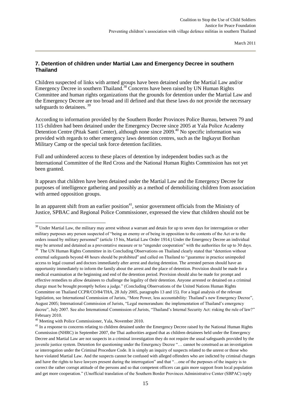#### <span id="page-17-0"></span>**7. Detention of children under Martial Law and Emergency Decree in southern Thailand**

Children suspected of links with armed groups have been detained under the Martial Law and/or Emergency Decree in southern Thailand.<sup>38</sup> Concerns have been raised by UN Human Rights Committee and human rights organizations that the grounds for detention under the Martial Law and the Emergency Decree are too broad and ill defined and that these laws do not provide the necessary safeguards to detainees.<sup>39</sup>

According to information provided by the Southern Border Provinces Police Bureau, between 79 and 115 children had been detained under the Emergency Decree since 2005 at Yala Police Academy Detention Centre (Pitak Santi Center), although none since 2009.<sup>40</sup> No specific information was provided with regards to other emergency laws detention centres, such as the Ingkayut Borihan Military Camp or the special task force detention facilities.

Full and unhindered access to these places of detention by independent bodies such as the International Committee of the Red Cross and the National Human Rights Commission has not yet been granted.

It appears that children have been detained under the Martial Law and the Emergency Decree for purposes of intelligence gathering and possibly as a method of demobilizing children from association with armed opposition groups.

In an apparent shift from an earlier position<sup>41</sup>, senior government officials from the Ministry of Justice, SPBAC and Regional Police Commissioner, expressed the view that children should not be

<sup>&</sup>lt;sup>38</sup> Under Martial Law, the military may arrest without a warrant and detain for up to seven days for interrogation or other military purposes any person suspected of "being an enemy or of being in opposition to the contents of the Act or to the orders issued by military personnel" (article 15 bis, Martial Law Order 1914.) Under the Emergency Decree an individual may be arrested and detained as a preventative measure or to "engender cooperation" with the authorities for up to 30 days.

<sup>&</sup>lt;sup>39</sup> The UN Human Rights Committee in its Concluding Observations on Thailand clearly stated that "detention without external safeguards beyond 48 hours should be prohibited" and called on Thailand to "guarantee in practice unimpeded access to legal counsel and doctors immediately after arrest and during detention. The arrested person should have an opportunity immediately to inform the family about the arrest and the place of detention. Provision should be made for a medical examination at the beginning and end of the detention period. Provision should also be made for prompt and effective remedies to allow detainees to challenge the legality of their detention. Anyone arrested or detained on a criminal charge must be brought promptly before a judge." (Concluding Observations of the United Nations Human Rights Committee on Thailand CCPR/CO/84/THA, 28 July 2005, paragraphs 13 and 15). For a legal analysis of the relevant legislation, see International Commission of Jurists, "More Power, less accountability: Thailand's new Emergency Decree", August 2005; International Commission of Jurists, "Legal memorandum: the implementation of Thailand's emergency decree", July 2007. See also International Commission of Jurists, "Thailand's Internal Security Act: risking the rule of law?" February 2010.

<sup>40</sup> Meeting with Police Commissioner, Yala, November 2010.

<sup>&</sup>lt;sup>41</sup> In a response to concerns relating to children detained under the Emergency Decree raised by the National Human Rights Commission (NHRC) in September 2007, the Thai authorities argued that as children detainees held under the Emergency Decree and Martial Law are not suspects in a criminal investigation they do not require the usual safeguards provided by the juvenile justice system. Detention for questioning under the Emergency Decree "… cannot be construed as an investigation or interrogation under the Criminal Procedure Code. It is simply an inquiry of suspects related to the unrest or those who have violated Martial Law. And the suspects cannot be confused with alleged offenders who are indicted by criminal charges and have the rights to have lawyers present during the interrogation" and that "…one of the purposes of the inquiry is to correct the rather corrupt attitude of the persons and so that competent officers can gain more support from local population and get more cooperation." (Unofficial translation of the Southern Border Provinces Administrative Center (SBPAC) reply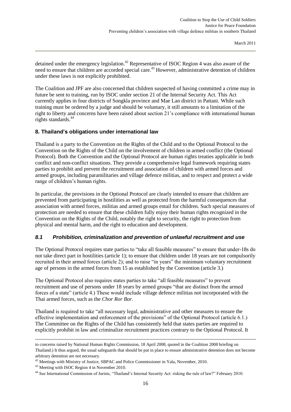detained under the emergency legislation.<sup>42</sup> Representative of ISOC Region 4 was also aware of the need to ensure that children are accorded special care.<sup>43</sup> However, administrative detention of children under these laws is not explicitly prohibited.

The Coalition and JPF are also concerned that children suspected of having committed a crime may in future be sent to training, run by ISOC under section 21 of the Internal Security Act. This Act currently applies in four districts of Songkla province and Mae Lan district in Pattani. While such training must be ordered by a judge and should be voluntary, it still amounts to a limitation of the right to liberty and concerns have been raised about section 21's compliance with international human rights standards.<sup>44</sup>

#### <span id="page-18-0"></span>**8. Thailand's obligations under international law**

Thailand is a party to the Convention on the Rights of the Child and to the Optional Protocol to the Convention on the Rights of the Child on the involvement of children in armed conflict (the Optional Protocol). Both the Convention and the Optional Protocol are human rights treaties applicable in both conflict and non-conflict situations. They provide a comprehensive legal framework requiring states parties to prohibit and prevent the recruitment and association of children with armed forces and armed groups, including paramilitaries and village defence militias, and to respect and protect a wide range of children's human rights.

In particular, the provisions in the Optional Protocol are clearly intended to ensure that children are prevented from participating in hostilities as well as protected from the harmful consequences that association with armed forces, militias and armed groups entail for children. Such special measures of protection are needed to ensure that these children fully enjoy their human rights recognized in the Convention on the Rights of the Child, notably the right to security, the right to protection from physical and mental harm, and the right to education and development.

#### <span id="page-18-1"></span>*8.1 Prohibition, criminalization and prevention of unlawful recruitment and use*

The Optional Protocol requires state parties to "take all feasible measures" to ensure that under-18s do not take direct part in hostilities (article 1); to ensure that children under 18 years are not compulsorily recruited in their armed forces (article 2); and to raise "in years" the minimum voluntary recruitment age of persons in the armed forces from 15 as established by the Convention (article 3.)

The Optional Protocol also requires states parties to take "all feasible measures" to prevent recruitment and use of persons under 18 years by armed groups "that are distinct from the armed forces of a state" (article 4.) These would include village defence militias not incorporated with the Thai armed forces, such as the *Chor Ror Bor*.

Thailand is required to take "all necessary legal, administrative and other measures to ensure the effective implementation and enforcement of the provisions" of the Optional Protocol (article 6.1.) The Committee on the Rights of the Child has consistently held that states parties are required to explicitly prohibit in law and criminalize recruitment practices contrary to the Optional Protocol. It

to concerns raised by National Human Rights Commission, 18 April 2008, quoted in the Coalition 2008 briefing on Thailand.) It thus argued, the usual safeguards that should be put in place to ensure administrative detention does not become arbitrary detention are not necessary.

 $42$  Meetings with Ministry of Justice, SBPAC and Police Commissioner in Yala, November, 2010.

<sup>43</sup> Meeting with ISOC Region 4 in November 2010.

<sup>44</sup> See International Commission of Jurists, "Thailand's Internal Security Act: risking the rule of law?" February 2010.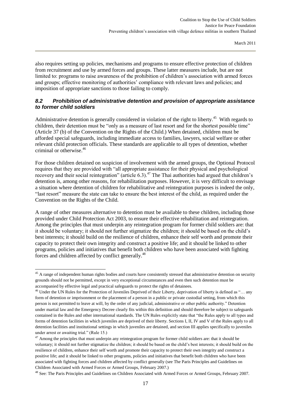also requires setting up policies, mechanisms and programs to ensure effective protection of children from recruitment and use by armed forces and groups. These latter measures include, but are not limited to: programs to raise awareness of the prohibition of children's association with armed forces and groups; effective monitoring of authorities' compliance with relevant laws and policies; and imposition of appropriate sanctions to those failing to comply.

#### <span id="page-19-0"></span>*8.2 Prohibition of administrative detention and provision of appropriate assistance to former child soldiers*

Administrative detention is generally considered in violation of the right to liberty.<sup>45</sup> With regards to children, their detention must be "only as a measure of last resort and for the shortest possible time" (Article 37 (b) of the Convention on the Rights of the Child.) When detained, children must be afforded special safeguards, including immediate access to families, lawyers, social welfare or other relevant child protection officials. These standards are applicable to all types of detention, whether criminal or otherwise.<sup>46</sup>

For those children detained on suspicion of involvement with the armed groups, the Optional Protocol requires that they are provided with "all appropriate assistance for their physical and psychological recovery and their social reintegration" (article  $6.3$ ).<sup>47</sup> The Thai authorities had argued that children's detention is, among other reasons, for rehabilitation purposes. However, it is very difficult to envisage a situation where detention of children for rehabilitative and reintegration purposes is indeed the only, "last resort" measure the state can take to ensure the best interest of the child, as required under the Convention on the Rights of the Child.

A range of other measures alternative to detention must be available to these children, including those provided under Child Protection Act 2003, to ensure their effective rehabilitation and reintegration. Among the principles that must underpin any reintegration program for former child soldiers are: that it should be voluntary; it should not further stigmatize the children; it should be based on the child's best interests; it should build on the resilience of children, enhance their self worth and promote their capacity to protect their own integrity and construct a positive life; and it should be linked to other programs, policies and initiatives that benefit both children who have been associated with fighting forces and children affected by conflict generally.<sup>48</sup>

<sup>&</sup>lt;sup>45</sup> A range of independent human rights bodies and courts have consistently stressed that administrative detention on security grounds should not be permitted, except in very exceptional circumstances and even then such detention must be accompanied by effective legal and practical safeguards to protect the rights of detainees.

<sup>&</sup>lt;sup>46</sup> Under the UN Rules for the Protection of Juveniles Deprived of their Liberty, deprivation of liberty is defined as "... any form of detention or imprisonment or the placement of a person in a public or private custodial setting, from which this person is not permitted to leave at will, by the order of any judicial, administrative or other public authority." Detention under martial law and the Emergency Decree clearly fits within this definition and should therefore be subject to safeguards contained in the Rules and other international standards. The UN Rules explicitly state that "the Rules apply to all types and forms of detention facilities in which juveniles are deprived of their liberty. Sections I, II, IV and V of the Rules apply to all detention facilities and institutional settings in which juveniles are detained, and section III applies specifically to juveniles under arrest or awaiting trial." (Rule 15.)

 $47$  Among the principles that must underpin any reintegration program for former child soldiers are: that it should be voluntary; it should not further stigmatize the children; it should be based on the child's best interests; it should build on the resilience of children, enhance their self worth and promote their capacity to protect their own integrity and construct a positive life; and it should be linked to other programs, policies and initiatives that benefit both children who have been associated with fighting forces and children affected by conflict generally (see The Paris Principles and Guidelines on Children Associated with Armed Forces or Armed Groups, February 2007.)

<sup>48</sup> See: The Paris Principles and Guidelines on Children Associated with Armed Forces or Armed Groups, February 2007.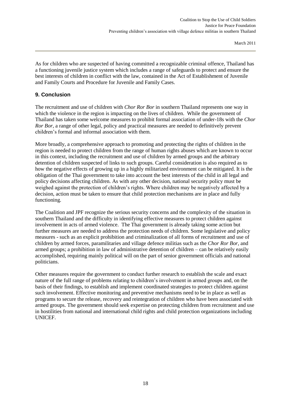As for children who are suspected of having committed a recognizable criminal offence, Thailand has a functioning juvenile justice system which includes a range of safeguards to protect and ensure the best interests of children in conflict with the law, contained in the Act of Establishment of Juvenile and Family Courts and Procedure for Juvenile and Family Cases.

#### <span id="page-20-0"></span>**9. Conclusion**

The recruitment and use of children with *Chor Ror Bor* in southern Thailand represents one way in which the violence in the region is impacting on the lives of children. While the government of Thailand has taken some welcome measures to prohibit formal association of under-18s with the *Chor Ror Bor*, a range of other legal, policy and practical measures are needed to definitively prevent children's formal and informal association with them.

More broadly, a comprehensive approach to promoting and protecting the rights of children in the region is needed to protect children from the range of human rights abuses which are known to occur in this context, including the recruitment and use of children by armed groups and the arbitrary detention of children suspected of links to such groups. Careful consideration is also required as to how the negative effects of growing up in a highly militarized environment can be mitigated. It is the obligation of the Thai government to take into account the best interests of the child in all legal and policy decisions affecting children. As with any other decision, national security policy must be weighed against the protection of children's rights. Where children may be negatively affected by a decision, action must be taken to ensure that child protection mechanisms are in place and fully functioning.

The Coalition and JPF recognize the serious security concerns and the complexity of the situation in southern Thailand and the difficulty in identifying effective measures to protect children against involvement in acts of armed violence. The Thai government is already taking some action but further measures are needed to address the protection needs of children. Some legislative and policy measures - such as an explicit prohibition and criminalization of all forms of recruitment and use of children by armed forces, paramilitaries and village defence militias such as the *Chor Ror Bor*, and armed groups; a prohibition in law of administrative detention of children – can be relatively easily accomplished, requiring mainly political will on the part of senior government officials and national politicians.

Other measures require the government to conduct further research to establish the scale and exact nature of the full range of problems relating to children's involvement in armed groups and, on the basis of their findings, to establish and implement coordinated strategies to protect children against such involvement. Effective monitoring and preventive mechanisms need to be in place as well as programs to secure the release, recovery and reintegration of children who have been associated with armed groups. The government should seek expertise on protecting children from recruitment and use in hostilities from national and international child rights and child protection organizations including UNICEF.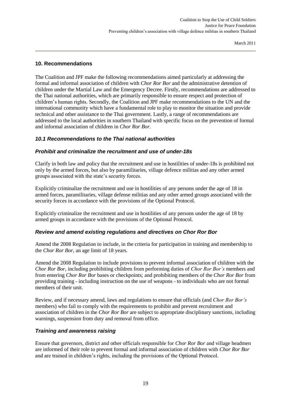#### <span id="page-21-0"></span>**10. Recommendations**

The Coalition and JPF make the following recommendations aimed particularly at addressing the formal and informal association of children with *Chor Ror Bor* and the administrative detention of children under the Martial Law and the Emergency Decree. Firstly, recommendations are addressed to the Thai national authorities, which are primarily responsible to ensure respect and protection of children's human rights. Secondly, the Coalition and JPF make recommendations to the UN and the international community which have a fundamental role to play to monitor the situation and provide technical and other assistance to the Thai government. Lastly, a range of recommendations are addressed to the local authorities in southern Thailand with specific focus on the prevention of formal and informal association of children in *Chor Ror Bor*.

#### <span id="page-21-1"></span>*10.1 Recommendations to the Thai national authorities*

#### *Prohibit and criminalize the recruitment and use of under-18s*

Clarify in both law and policy that the recruitment and use in hostilities of under-18s is prohibited not only by the armed forces, but also by paramilitaries, village defence militias and any other armed groups associated with the state's security forces.

Explicitly criminalize the recruitment and use in hostilities of any persons under the age of 18 in armed forces, paramilitaries, village defense militias and any other armed groups associated with the security forces in accordance with the provisions of the Optional Protocol.

Explicitly criminalize the recruitment and use in hostilities of any persons under the age of 18 by armed groups in accordance with the provisions of the Optional Protocol.

#### *Review and amend existing regulations and directives on Chor Ror Bor*

Amend the 2008 Regulation to include, in the criteria for participation in training and membership to the *Chor Ror Bor*, an age limit of 18 years.

Amend the 2008 Regulation to include provisions to prevent informal association of children with the *Chor Ror Bor,* including prohibiting children from performing duties of *Chor Ror Bor's* members and from entering *Chor Ror Bor* bases or checkpoints; and prohibiting members of the *Chor Ror Bor* from providing training - including instruction on the use of weapons - to individuals who are not formal members of their unit.

Review, and if necessary amend, laws and regulations to ensure that officials (and *Chor Ror Bor's*  members) who fail to comply with the requirements to prohibit and prevent recruitment and association of children in the *Chor Ror Bor* are subject to appropriate disciplinary sanctions, including warnings, suspension from duty and removal from office.

#### *Training and awareness raising*

Ensure that governors, district and other officials responsible for *Chor Ror Bor* and village headmen are informed of their role to prevent formal and informal association of children with *Chor Ror Bor* and are trained in children's rights, including the provisions of the Optional Protocol.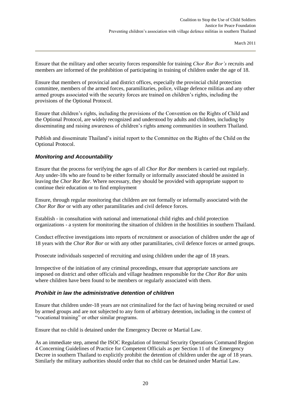Ensure that the military and other security forces responsible for training *Chor Ror Bor's* recruits and members are informed of the prohibition of participating in training of children under the age of 18.

Ensure that members of provincial and district offices, especially the provincial child protection committee, members of the armed forces, paramilitaries, police, village defence militias and any other armed groups associated with the security forces are trained on children's rights, including the provisions of the Optional Protocol.

Ensure that children's rights, including the provisions of the Convention on the Rights of Child and the Optional Protocol, are widely recognized and understood by adults and children, including by disseminating and raising awareness of children's rights among communities in southern Thailand.

Publish and disseminate Thailand's initial report to the Committee on the Rights of the Child on the Optional Protocol.

#### *Monitoring and Accountability*

Ensure that the process for verifying the ages of all *Chor Ror Bor* members is carried out regularly. Any under-18s who are found to be either formally or informally associated should be assisted in leaving the *Chor Ror Bor.* Where necessary, they should be provided with appropriate support to continue their education or to find employment

Ensure, through regular monitoring that children are not formally or informally associated with the *Chor Ror Bor* or with any other paramilitaries and civil defence forces.

Establish - in consultation with national and international child rights and child protection organizations - a system for monitoring the situation of children in the hostilities in southern Thailand.

Conduct effective investigations into reports of recruitment or association of children under the age of 18 years with the *Chor Ror Bor* or with any other paramilitaries, civil defence forces or armed groups*.*

Prosecute individuals suspected of recruiting and using children under the age of 18 years.

Irrespective of the initiation of any criminal proceedings, ensure that appropriate sanctions are imposed on district and other officials and village headmen responsible for the *Chor Ror Bor* units where children have been found to be members or regularly associated with them.

#### *Prohibit in law the administrative detention of children*

Ensure that children under-18 years are not criminalized for the fact of having being recruited or used by armed groups and are not subjected to any form of arbitrary detention, including in the context of "vocational training" or other similar programs.

Ensure that no child is detained under the Emergency Decree or Martial Law.

As an immediate step, amend the ISOC Regulation of Internal Security Operations Command Region 4 Concerning Guidelines of Practice for Competent Officials as per Section 11 of the Emergency Decree in southern Thailand to explicitly prohibit the detention of children under the age of 18 years. Similarly the military authorities should order that no child can be detained under Martial Law.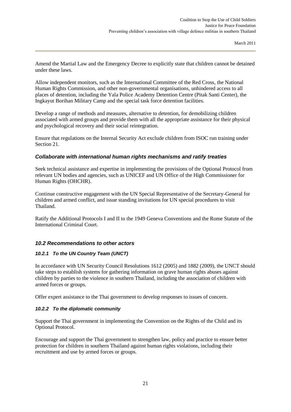Amend the Martial Law and the Emergency Decree to explicitly state that children cannot be detained under these laws.

Allow independent monitors, such as the International Committee of the Red Cross, the National Human Rights Commission, and other non-governmental organisations, unhindered access to all places of detention, including the Yala Police Academy Detention Centre (Pitak Santi Center), the Ingkayut Borihan Military Camp and the special task force detention facilities.

Develop a range of methods and measures, alternative to detention, for demobilizing children associated with armed groups and provide them with all the appropriate assistance for their physical and psychological recovery and their social reintegration.

Ensure that regulations on the Internal Security Act exclude children from ISOC run training under Section 21.

#### *Collaborate with international human rights mechanisms and ratify treaties*

Seek technical assistance and expertise in implementing the provisions of the Optional Protocol from relevant UN bodies and agencies, such as UNICEF and UN Office of the High Commissioner for Human Rights (OHCHR).

Continue constructive engagement with the UN Special Representative of the Secretary-General for children and armed conflict, and issue standing invitations for UN special procedures to visit Thailand.

Ratify the Additional Protocols I and II to the 1949 Geneva Conventions and the Rome Statute of the International Criminal Court.

#### <span id="page-23-0"></span>*10.2 Recommendations to other actors*

#### *10.2.1 To the UN Country Team (UNCT)*

In accordance with UN Security Council Resolutions 1612 (2005) and 1882 (2009), the UNCT should take steps to establish systems for gathering information on grave human rights abuses against children by parties to the violence in southern Thailand, including the association of children with armed forces or groups.

Offer expert assistance to the Thai government to develop responses to issues of concern.

#### *10.2.2 To the diplomatic community*

Support the Thai government in implementing the Convention on the Rights of the Child and its Optional Protocol.

Encourage and support the Thai government to strengthen law, policy and practice to ensure better protection for children in southern Thailand against human rights violations, including their recruitment and use by armed forces or groups.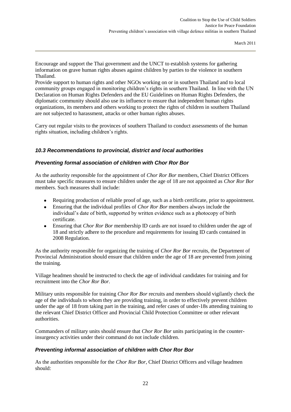Encourage and support the Thai government and the UNCT to establish systems for gathering information on grave human rights abuses against children by parties to the violence in southern Thailand.

Provide support to human rights and other NGOs working on or in southern Thailand and to local community groups engaged in monitoring children's rights in southern Thailand. In line with the UN Declaration on Human Rights Defenders and the EU Guidelines on Human Rights Defenders, the diplomatic community should also use its influence to ensure that independent human rights organizations, its members and others working to protect the rights of children in southern Thailand are not subjected to harassment, attacks or other human rights abuses.

Carry out regular visits to the provinces of southern Thailand to conduct assessments of the human rights situation, including children's rights.

#### <span id="page-24-0"></span>*10.3 Recommendations to provincial, district and local authorities*

#### *Preventing formal association of children with Chor Ror Bor*

As the authority responsible for the appointment of *Chor Ror Bor* members, Chief District Officers must take specific measures to ensure children under the age of 18 are not appointed as *Chor Ror Bor* members. Such measures shall include:

- $\bullet$ Requiring production of reliable proof of age, such as a birth certificate, prior to appointment.
- Ensuring that the individual profiles of *Chor Ror Bor* members always include the individual's date of birth, supported by written evidence such as a photocopy of birth certificate.
- Ensuring that *Chor Ror Bor* membership ID cards are not issued to children under the age of  $\bullet$ 18 and strictly adhere to the procedure and requirements for issuing ID cards contained in 2008 Regulation.

As the authority responsible for organizing the training of *Chor Ror Bor* recruits, the Department of Provincial Administration should ensure that children under the age of 18 are prevented from joining the training.

Village headmen should be instructed to check the age of individual candidates for training and for recruitment into the *Chor Ror Bor.*

Military units responsible for training *Chor Ror Bor* recruits and members should vigilantly check the age of the individuals to whom they are providing training, in order to effectively prevent children under the age of 18 from taking part in the training, and refer cases of under-18s attending training to the relevant Chief District Officer and Provincial Child Protection Committee or other relevant authorities.

Commanders of military units should ensure that *Chor Ror Bor* units participating in the counterinsurgency activities under their command do not include children.

#### *Preventing informal association of children with Chor Ror Bor*

As the authorities responsible for the *Chor Ror Bor*, Chief District Officers and village headmen should: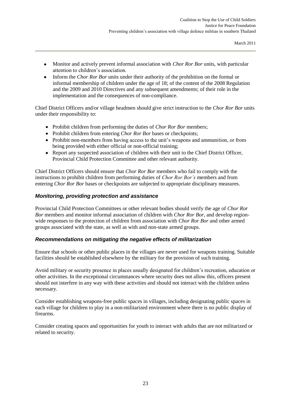- $\bullet$ Monitor and actively prevent informal association with *Chor Ror Bor* units, with particular attention to children's association.
- $\bullet$ Inform the *Chor Ror Bor* units under their authority of the prohibition on the formal or informal membership of children under the age of 18; of the content of the 2008 Regulation and the 2009 and 2010 Directives and any subsequent amendments; of their role in the implementation and the consequences of non-compliance.

Chief District Officers and/or village headmen should give strict instruction to the *Chor Ror Bor* units under their responsibility to:

- Prohibit children from performing the duties of *Chor Ror Bor* members;
- Prohibit children from entering *Chor Ror Bor* bases or checkpoints;
- Prohibit non-members from having access to the unit's weapons and ammunition, or from being provided with either official or non-official training;
- Report any suspected association of children with their unit to the Chief District Officer, Provincial Child Protection Committee and other relevant authority.

Chief District Officers should ensure that *Chor Ror Bor* members who fail to comply with the instructions to prohibit children from performing duties of *Chor Ror Bor's* members and from entering *Chor Ror Bor* bases or checkpoints are subjected to appropriate disciplinary measures.

## *Monitoring, providing protection and assistance*

Provincial Child Protection Committees or other relevant bodies should verify the age of *Chor Ror Bor* members and monitor informal association of children with *Chor Ror Bor*, and develop regionwide responses to the protection of children from association with *Chor Ror Bor* and other armed groups associated with the state, as well as with and non-state armed groups.

#### *Recommendations on mitigating the negative effects of militarization*

Ensure that schools or other public places in the villages are never used for weapons training. Suitable facilities should be established elsewhere by the military for the provision of such training.

Avoid military or security presence in places usually designated for children's recreation, education or other activities. In the exceptional circumstances where security does not allow this, officers present should not interfere in any way with these activities and should not interact with the children unless necessary.

Consider establishing weapons-free public spaces in villages, including designating public spaces in each village for children to play in a non-militarized environment where there is no public display of firearms.

Consider creating spaces and opportunities for youth to interact with adults that are not militarized or related to security.